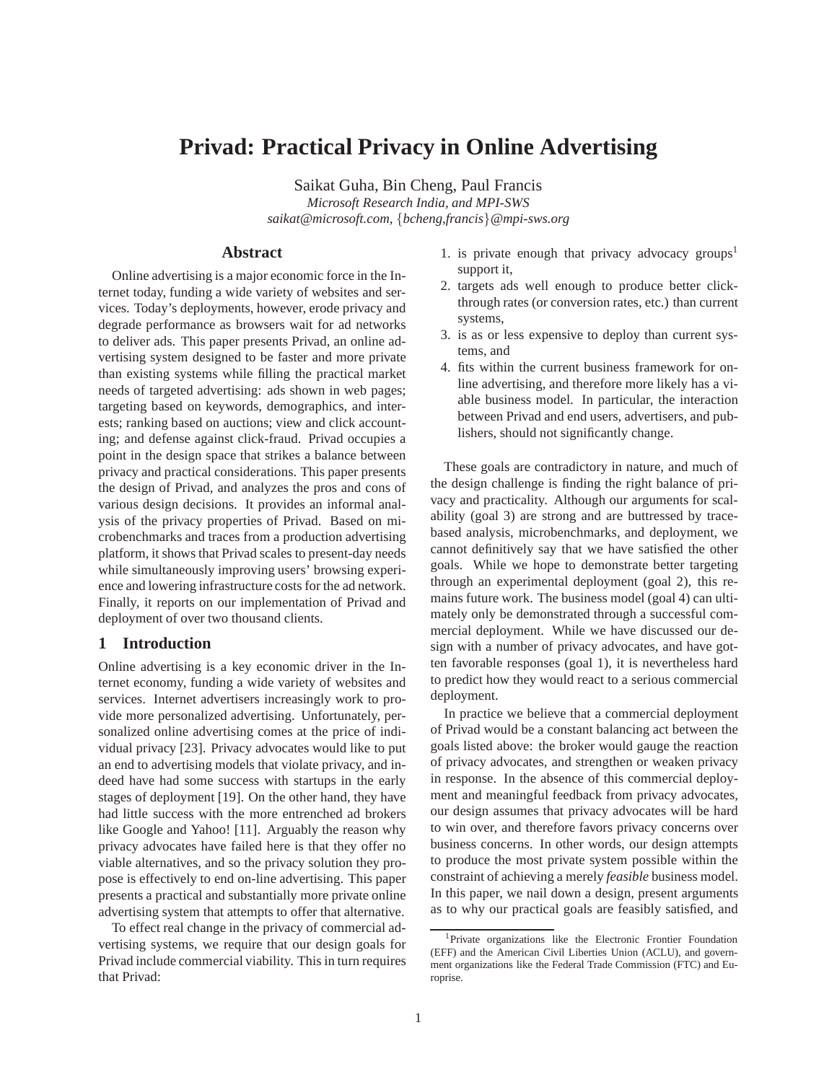# **Privad: Practical Privacy in Online Advertising**

Saikat Guha, Bin Cheng, Paul Francis *Microsoft Research India, and MPI-SWS saikat@microsoft.com,* {*bcheng,francis*}*@mpi-sws.org*

# **Abstract**

Online advertising is a major economic force in the Internet today, funding a wide variety of websites and services. Today's deployments, however, erode privacy and degrade performance as browsers wait for ad networks to deliver ads. This paper presents Privad, an online advertising system designed to be faster and more private than existing systems while filling the practical market needs of targeted advertising: ads shown in web pages; targeting based on keywords, demographics, and interests; ranking based on auctions; view and click accounting; and defense against click-fraud. Privad occupies a point in the design space that strikes a balance between privacy and practical considerations. This paper presents the design of Privad, and analyzes the pros and cons of various design decisions. It provides an informal analysis of the privacy properties of Privad. Based on microbenchmarks and traces from a production advertising platform, it shows that Privad scales to present-day needs while simultaneously improving users' browsing experience and lowering infrastructure costs for the ad network. Finally, it reports on our implementation of Privad and deployment of over two thousand clients.

# **1 Introduction**

Online advertising is a key economic driver in the Internet economy, funding a wide variety of websites and services. Internet advertisers increasingly work to provide more personalized advertising. Unfortunately, personalized online advertising comes at the price of individual privacy [23]. Privacy advocates would like to put an end to advertising models that violate privacy, and indeed have had some success with startups in the early stages of deployment [19]. On the other hand, they have had little success with the more entrenched ad brokers like Google and Yahoo! [11]. Arguably the reason why privacy advocates have failed here is that they offer no viable alternatives, and so the privacy solution they propose is effectively to end on-line advertising. This paper presents a practical and substantially more private online advertising system that attempts to offer that alternative.

To effect real change in the privacy of commercial advertising systems, we require that our design goals for Privad include commercial viability. This in turn requires that Privad:

- 1. is private enough that privacy advocacy groups<sup>1</sup> support it,
- 2. targets ads well enough to produce better clickthrough rates (or conversion rates, etc.) than current systems,
- 3. is as or less expensive to deploy than current systems, and
- 4. fits within the current business framework for online advertising, and therefore more likely has a viable business model. In particular, the interaction between Privad and end users, advertisers, and publishers, should not significantly change.

These goals are contradictory in nature, and much of the design challenge is finding the right balance of privacy and practicality. Although our arguments for scalability (goal 3) are strong and are buttressed by tracebased analysis, microbenchmarks, and deployment, we cannot definitively say that we have satisfied the other goals. While we hope to demonstrate better targeting through an experimental deployment (goal 2), this remains future work. The business model (goal 4) can ultimately only be demonstrated through a successful commercial deployment. While we have discussed our design with a number of privacy advocates, and have gotten favorable responses (goal 1), it is nevertheless hard to predict how they would react to a serious commercial deployment.

In practice we believe that a commercial deployment of Privad would be a constant balancing act between the goals listed above: the broker would gauge the reaction of privacy advocates, and strengthen or weaken privacy in response. In the absence of this commercial deployment and meaningful feedback from privacy advocates, our design assumes that privacy advocates will be hard to win over, and therefore favors privacy concerns over business concerns. In other words, our design attempts to produce the most private system possible within the constraint of achieving a merely *feasible* business model. In this paper, we nail down a design, present arguments as to why our practical goals are feasibly satisfied, and

<sup>&</sup>lt;sup>1</sup>Private organizations like the Electronic Frontier Foundation (EFF) and the American Civil Liberties Union (ACLU), and government organizations like the Federal Trade Commission (FTC) and Europrise.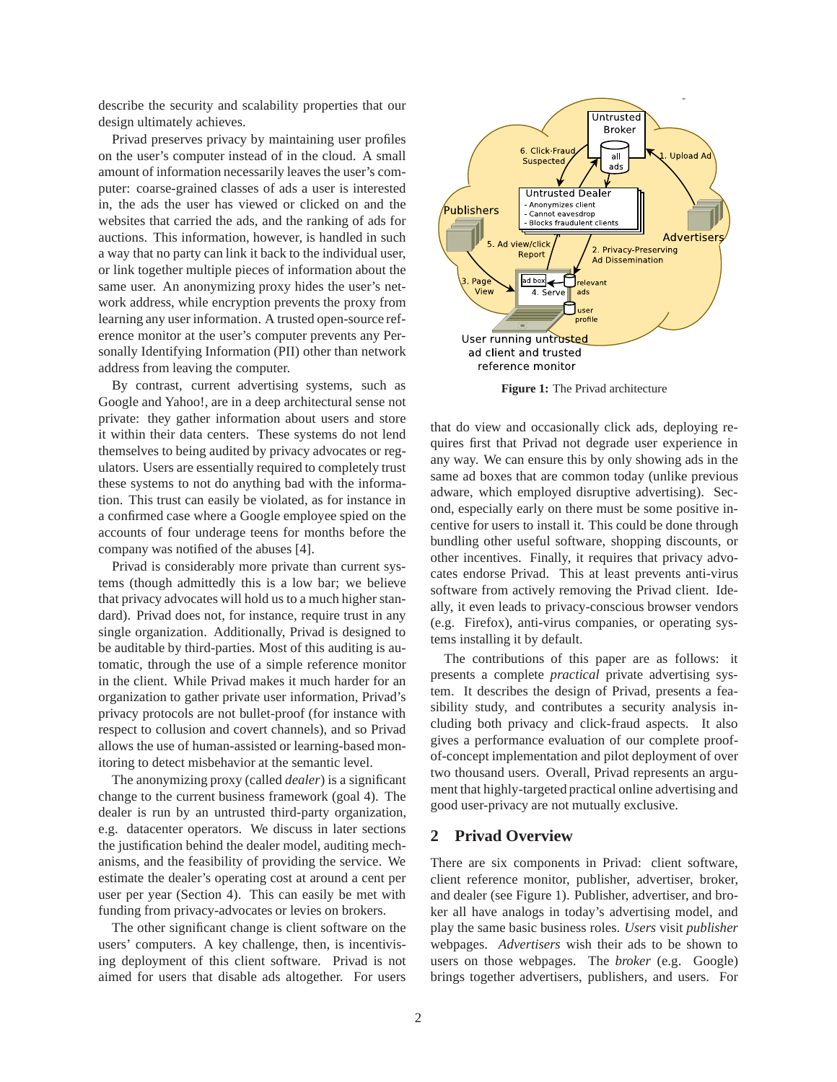describe the security and scalability properties that our design ultimately achieves.

Privad preserves privacy by maintaining user profiles on the user's computer instead of in the cloud. A small amount of information necessarily leaves the user's computer: coarse-grained classes of ads a user is interested in, the ads the user has viewed or clicked on and the websites that carried the ads, and the ranking of ads for auctions. This information, however, is handled in such a way that no party can link it back to the individual user, or link together multiple pieces of information about the same user. An anonymizing proxy hides the user's network address, while encryption prevents the proxy from learning any user information. A trusted open-source reference monitor at the user's computer prevents any Personally Identifying Information (PII) other than network address from leaving the computer.

By contrast, current advertising systems, such as Google and Yahoo!, are in a deep architectural sense not private: they gather information about users and store it within their data centers. These systems do not lend themselves to being audited by privacy advocates or regulators. Users are essentially required to completely trust these systems to not do anything bad with the information. This trust can easily be violated, as for instance in a confirmed case where a Google employee spied on the accounts of four underage teens for months before the company was notified of the abuses [4].

Privad is considerably more private than current systems (though admittedly this is a low bar; we believe that privacy advocates will hold us to a much higher standard). Privad does not, for instance, require trust in any single organization. Additionally, Privad is designed to be auditable by third-parties. Most of this auditing is automatic, through the use of a simple reference monitor in the client. While Privad makes it much harder for an organization to gather private user information, Privad's privacy protocols are not bullet-proof (for instance with respect to collusion and covert channels), and so Privad allows the use of human-assisted or learning-based monitoring to detect misbehavior at the semantic level.

The anonymizing proxy (called *dealer*) is a significant change to the current business framework (goal 4). The dealer is run by an untrusted third-party organization, e.g. datacenter operators. We discuss in later sections the justification behind the dealer model, auditing mechanisms, and the feasibility of providing the service. We estimate the dealer's operating cost at around a cent per user per year (Section 4). This can easily be met with funding from privacy-advocates or levies on brokers.

The other significant change is client software on the users' computers. A key challenge, then, is incentivising deployment of this client software. Privad is not aimed for users that disable ads altogether. For users



**Figure 1:** The Privad architecture

that do view and occasionally click ads, deploying requires first that Privad not degrade user experience in any way. We can ensure this by only showing ads in the same ad boxes that are common today (unlike previous adware, which employed disruptive advertising). Second, especially early on there must be some positive incentive for users to install it. This could be done through bundling other useful software, shopping discounts, or other incentives. Finally, it requires that privacy advocates endorse Privad. This at least prevents anti-virus software from actively removing the Privad client. Ideally, it even leads to privacy-conscious browser vendors (e.g. Firefox), anti-virus companies, or operating systems installing it by default.

The contributions of this paper are as follows: it presents a complete *practical* private advertising system. It describes the design of Privad, presents a feasibility study, and contributes a security analysis including both privacy and click-fraud aspects. It also gives a performance evaluation of our complete proofof-concept implementation and pilot deployment of over two thousand users. Overall, Privad represents an argument that highly-targeted practical online advertising and good user-privacy are not mutually exclusive.

## **2 Privad Overview**

There are six components in Privad: client software, client reference monitor, publisher, advertiser, broker, and dealer (see Figure 1). Publisher, advertiser, and broker all have analogs in today's advertising model, and play the same basic business roles. *Users* visit *publisher* webpages. *Advertisers* wish their ads to be shown to users on those webpages. The *broker* (e.g. Google) brings together advertisers, publishers, and users. For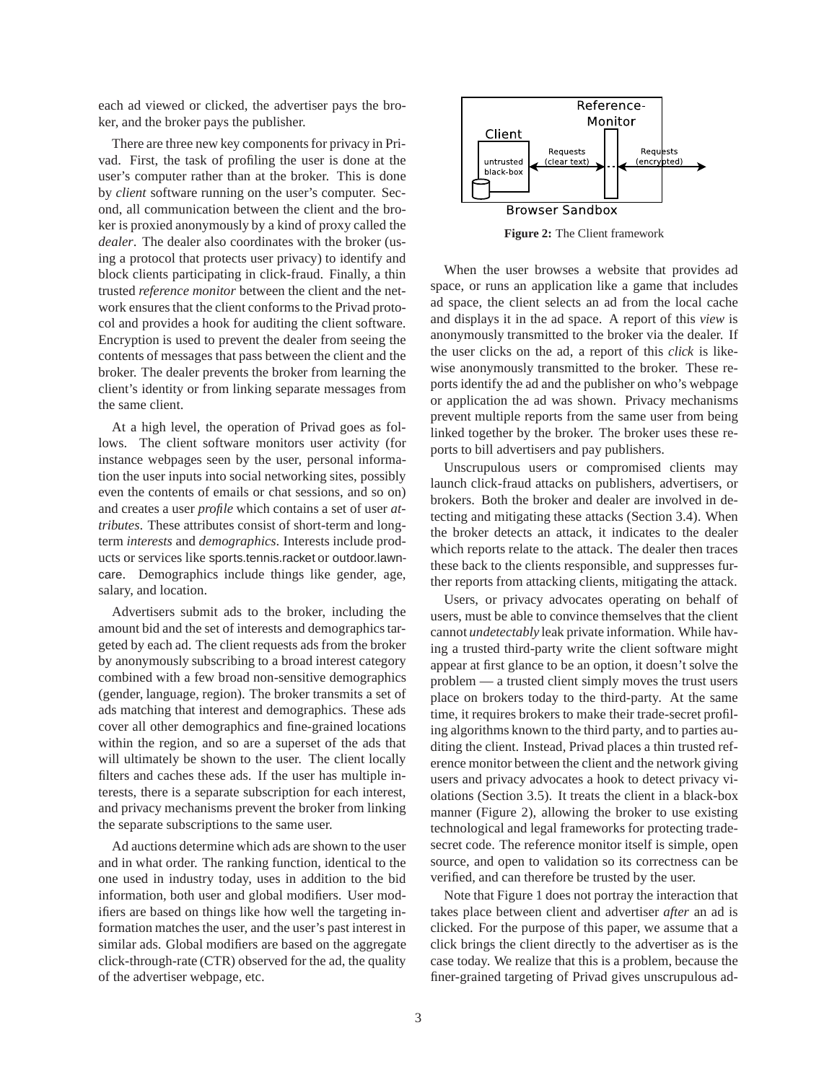each ad viewed or clicked, the advertiser pays the broker, and the broker pays the publisher.

There are three new key components for privacy in Privad. First, the task of profiling the user is done at the user's computer rather than at the broker. This is done by *client* software running on the user's computer. Second, all communication between the client and the broker is proxied anonymously by a kind of proxy called the *dealer*. The dealer also coordinates with the broker (using a protocol that protects user privacy) to identify and block clients participating in click-fraud. Finally, a thin trusted *reference monitor* between the client and the network ensures that the client conforms to the Privad protocol and provides a hook for auditing the client software. Encryption is used to prevent the dealer from seeing the contents of messages that pass between the client and the broker. The dealer prevents the broker from learning the client's identity or from linking separate messages from the same client.

At a high level, the operation of Privad goes as follows. The client software monitors user activity (for instance webpages seen by the user, personal information the user inputs into social networking sites, possibly even the contents of emails or chat sessions, and so on) and creates a user *profile* which contains a set of user *attributes*. These attributes consist of short-term and longterm *interests* and *demographics*. Interests include products or services like sports.tennis.racket or outdoor.lawncare. Demographics include things like gender, age, salary, and location.

Advertisers submit ads to the broker, including the amount bid and the set of interests and demographics targeted by each ad. The client requests ads from the broker by anonymously subscribing to a broad interest category combined with a few broad non-sensitive demographics (gender, language, region). The broker transmits a set of ads matching that interest and demographics. These ads cover all other demographics and fine-grained locations within the region, and so are a superset of the ads that will ultimately be shown to the user. The client locally filters and caches these ads. If the user has multiple interests, there is a separate subscription for each interest, and privacy mechanisms prevent the broker from linking the separate subscriptions to the same user.

Ad auctions determine which ads are shown to the user and in what order. The ranking function, identical to the one used in industry today, uses in addition to the bid information, both user and global modifiers. User modifiers are based on things like how well the targeting information matches the user, and the user's past interest in similar ads. Global modifiers are based on the aggregate click-through-rate (CTR) observed for the ad, the quality of the advertiser webpage, etc.



**Figure 2:** The Client framework

When the user browses a website that provides ad space, or runs an application like a game that includes ad space, the client selects an ad from the local cache and displays it in the ad space. A report of this *view* is anonymously transmitted to the broker via the dealer. If the user clicks on the ad, a report of this *click* is likewise anonymously transmitted to the broker. These reports identify the ad and the publisher on who's webpage or application the ad was shown. Privacy mechanisms prevent multiple reports from the same user from being linked together by the broker. The broker uses these reports to bill advertisers and pay publishers.

Unscrupulous users or compromised clients may launch click-fraud attacks on publishers, advertisers, or brokers. Both the broker and dealer are involved in detecting and mitigating these attacks (Section 3.4). When the broker detects an attack, it indicates to the dealer which reports relate to the attack. The dealer then traces these back to the clients responsible, and suppresses further reports from attacking clients, mitigating the attack.

Users, or privacy advocates operating on behalf of users, must be able to convince themselves that the client cannot *undetectably* leak private information. While having a trusted third-party write the client software might appear at first glance to be an option, it doesn't solve the problem — a trusted client simply moves the trust users place on brokers today to the third-party. At the same time, it requires brokers to make their trade-secret profiling algorithms known to the third party, and to parties auditing the client. Instead, Privad places a thin trusted reference monitor between the client and the network giving users and privacy advocates a hook to detect privacy violations (Section 3.5). It treats the client in a black-box manner (Figure 2), allowing the broker to use existing technological and legal frameworks for protecting tradesecret code. The reference monitor itself is simple, open source, and open to validation so its correctness can be verified, and can therefore be trusted by the user.

Note that Figure 1 does not portray the interaction that takes place between client and advertiser *after* an ad is clicked. For the purpose of this paper, we assume that a click brings the client directly to the advertiser as is the case today. We realize that this is a problem, because the finer-grained targeting of Privad gives unscrupulous ad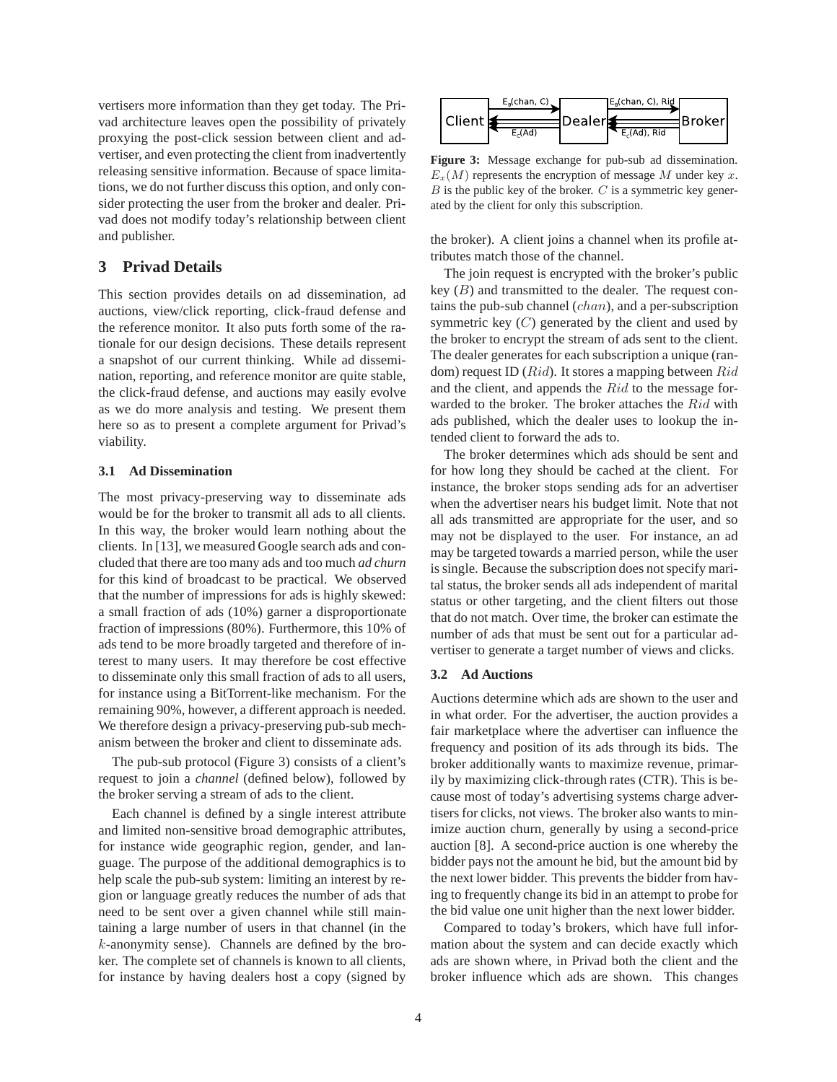vertisers more information than they get today. The Privad architecture leaves open the possibility of privately proxying the post-click session between client and advertiser, and even protecting the client from inadvertently releasing sensitive information. Because of space limitations, we do not further discuss this option, and only consider protecting the user from the broker and dealer. Privad does not modify today's relationship between client and publisher.

## **3 Privad Details**

This section provides details on ad dissemination, ad auctions, view/click reporting, click-fraud defense and the reference monitor. It also puts forth some of the rationale for our design decisions. These details represent a snapshot of our current thinking. While ad dissemination, reporting, and reference monitor are quite stable, the click-fraud defense, and auctions may easily evolve as we do more analysis and testing. We present them here so as to present a complete argument for Privad's viability.

## **3.1 Ad Dissemination**

The most privacy-preserving way to disseminate ads would be for the broker to transmit all ads to all clients. In this way, the broker would learn nothing about the clients. In [13], we measured Google search ads and concluded that there are too many ads and too much *ad churn* for this kind of broadcast to be practical. We observed that the number of impressions for ads is highly skewed: a small fraction of ads (10%) garner a disproportionate fraction of impressions (80%). Furthermore, this 10% of ads tend to be more broadly targeted and therefore of interest to many users. It may therefore be cost effective to disseminate only this small fraction of ads to all users, for instance using a BitTorrent-like mechanism. For the remaining 90%, however, a different approach is needed. We therefore design a privacy-preserving pub-sub mechanism between the broker and client to disseminate ads.

The pub-sub protocol (Figure 3) consists of a client's request to join a *channel* (defined below), followed by the broker serving a stream of ads to the client.

Each channel is defined by a single interest attribute and limited non-sensitive broad demographic attributes, for instance wide geographic region, gender, and language. The purpose of the additional demographics is to help scale the pub-sub system: limiting an interest by region or language greatly reduces the number of ads that need to be sent over a given channel while still maintaining a large number of users in that channel (in the  $k$ -anonymity sense). Channels are defined by the broker. The complete set of channels is known to all clients, for instance by having dealers host a copy (signed by



**Figure 3:** Message exchange for pub-sub ad dissemination.  $E_x(M)$  represents the encryption of message M under key x.  $B$  is the public key of the broker.  $C$  is a symmetric key generated by the client for only this subscription.

the broker). A client joins a channel when its profile attributes match those of the channel.

The join request is encrypted with the broker's public key  $(B)$  and transmitted to the dealer. The request contains the pub-sub channel (chan), and a per-subscription symmetric key  $(C)$  generated by the client and used by the broker to encrypt the stream of ads sent to the client. The dealer generates for each subscription a unique (random) request ID  $(Rid)$ . It stores a mapping between  $Rid$ and the client, and appends the Rid to the message forwarded to the broker. The broker attaches the Rid with ads published, which the dealer uses to lookup the intended client to forward the ads to.

The broker determines which ads should be sent and for how long they should be cached at the client. For instance, the broker stops sending ads for an advertiser when the advertiser nears his budget limit. Note that not all ads transmitted are appropriate for the user, and so may not be displayed to the user. For instance, an ad may be targeted towards a married person, while the user is single. Because the subscription does not specify marital status, the broker sends all ads independent of marital status or other targeting, and the client filters out those that do not match. Over time, the broker can estimate the number of ads that must be sent out for a particular advertiser to generate a target number of views and clicks.

## **3.2 Ad Auctions**

Auctions determine which ads are shown to the user and in what order. For the advertiser, the auction provides a fair marketplace where the advertiser can influence the frequency and position of its ads through its bids. The broker additionally wants to maximize revenue, primarily by maximizing click-through rates (CTR). This is because most of today's advertising systems charge advertisers for clicks, not views. The broker also wants to minimize auction churn, generally by using a second-price auction [8]. A second-price auction is one whereby the bidder pays not the amount he bid, but the amount bid by the next lower bidder. This prevents the bidder from having to frequently change its bid in an attempt to probe for the bid value one unit higher than the next lower bidder.

Compared to today's brokers, which have full information about the system and can decide exactly which ads are shown where, in Privad both the client and the broker influence which ads are shown. This changes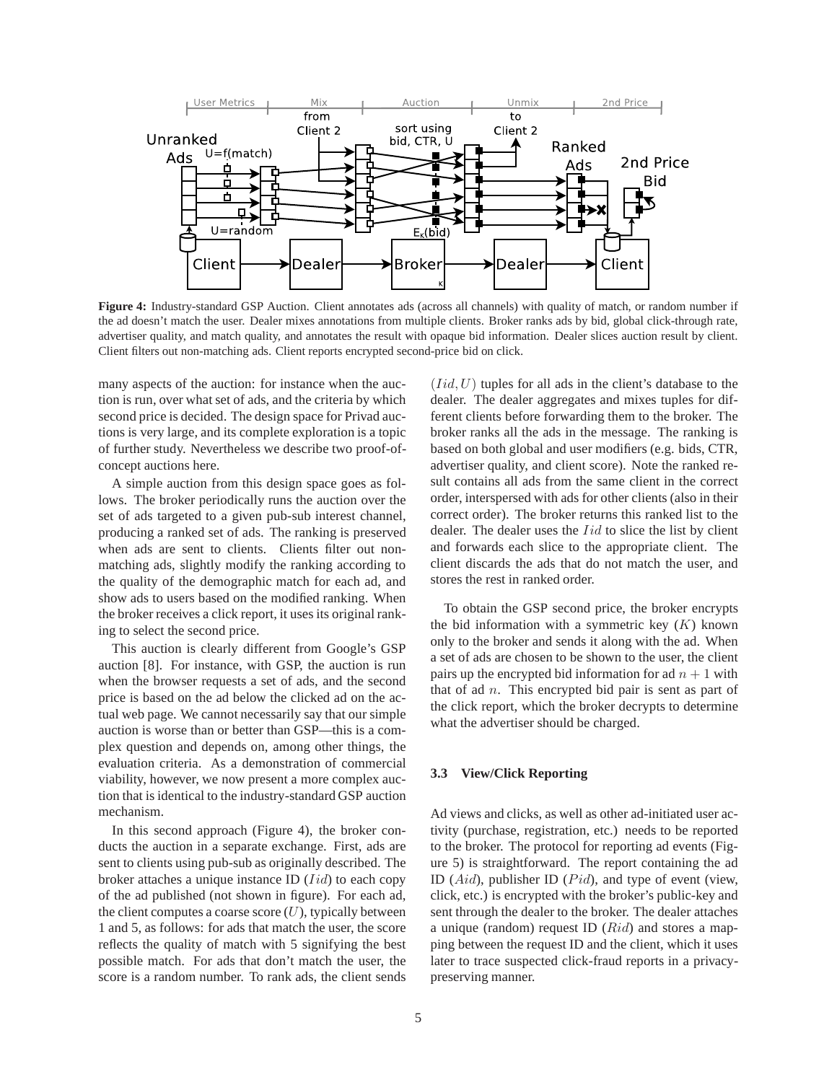

**Figure 4:** Industry-standard GSP Auction. Client annotates ads (across all channels) with quality of match, or random number if the ad doesn't match the user. Dealer mixes annotations from multiple clients. Broker ranks ads by bid, global click-through rate, advertiser quality, and match quality, and annotates the result with opaque bid information. Dealer slices auction result by client. Client filters out non-matching ads. Client reports encrypted second-price bid on click.

many aspects of the auction: for instance when the auction is run, over what set of ads, and the criteria by which second price is decided. The design space for Privad auctions is very large, and its complete exploration is a topic of further study. Nevertheless we describe two proof-ofconcept auctions here.

A simple auction from this design space goes as follows. The broker periodically runs the auction over the set of ads targeted to a given pub-sub interest channel, producing a ranked set of ads. The ranking is preserved when ads are sent to clients. Clients filter out nonmatching ads, slightly modify the ranking according to the quality of the demographic match for each ad, and show ads to users based on the modified ranking. When the broker receives a click report, it uses its original ranking to select the second price.

This auction is clearly different from Google's GSP auction [8]. For instance, with GSP, the auction is run when the browser requests a set of ads, and the second price is based on the ad below the clicked ad on the actual web page. We cannot necessarily say that our simple auction is worse than or better than GSP—this is a complex question and depends on, among other things, the evaluation criteria. As a demonstration of commercial viability, however, we now present a more complex auction that is identical to the industry-standard GSP auction mechanism.

In this second approach (Figure 4), the broker conducts the auction in a separate exchange. First, ads are sent to clients using pub-sub as originally described. The broker attaches a unique instance ID  $(Iid)$  to each copy of the ad published (not shown in figure). For each ad, the client computes a coarse score  $(U)$ , typically between 1 and 5, as follows: for ads that match the user, the score reflects the quality of match with 5 signifying the best possible match. For ads that don't match the user, the score is a random number. To rank ads, the client sends  $(Iid, U)$  tuples for all ads in the client's database to the dealer. The dealer aggregates and mixes tuples for different clients before forwarding them to the broker. The broker ranks all the ads in the message. The ranking is based on both global and user modifiers (e.g. bids, CTR, advertiser quality, and client score). Note the ranked result contains all ads from the same client in the correct order, interspersed with ads for other clients (also in their correct order). The broker returns this ranked list to the dealer. The dealer uses the *Iid* to slice the list by client and forwards each slice to the appropriate client. The client discards the ads that do not match the user, and stores the rest in ranked order.

To obtain the GSP second price, the broker encrypts the bid information with a symmetric key  $(K)$  known only to the broker and sends it along with the ad. When a set of ads are chosen to be shown to the user, the client pairs up the encrypted bid information for ad  $n + 1$  with that of ad  $n$ . This encrypted bid pair is sent as part of the click report, which the broker decrypts to determine what the advertiser should be charged.

# **3.3 View/Click Reporting**

Ad views and clicks, as well as other ad-initiated user activity (purchase, registration, etc.) needs to be reported to the broker. The protocol for reporting ad events (Figure 5) is straightforward. The report containing the ad ID  $(Aid)$ , publisher ID  $(Pid)$ , and type of event (view, click, etc.) is encrypted with the broker's public-key and sent through the dealer to the broker. The dealer attaches a unique (random) request ID  $(Rid)$  and stores a mapping between the request ID and the client, which it uses later to trace suspected click-fraud reports in a privacypreserving manner.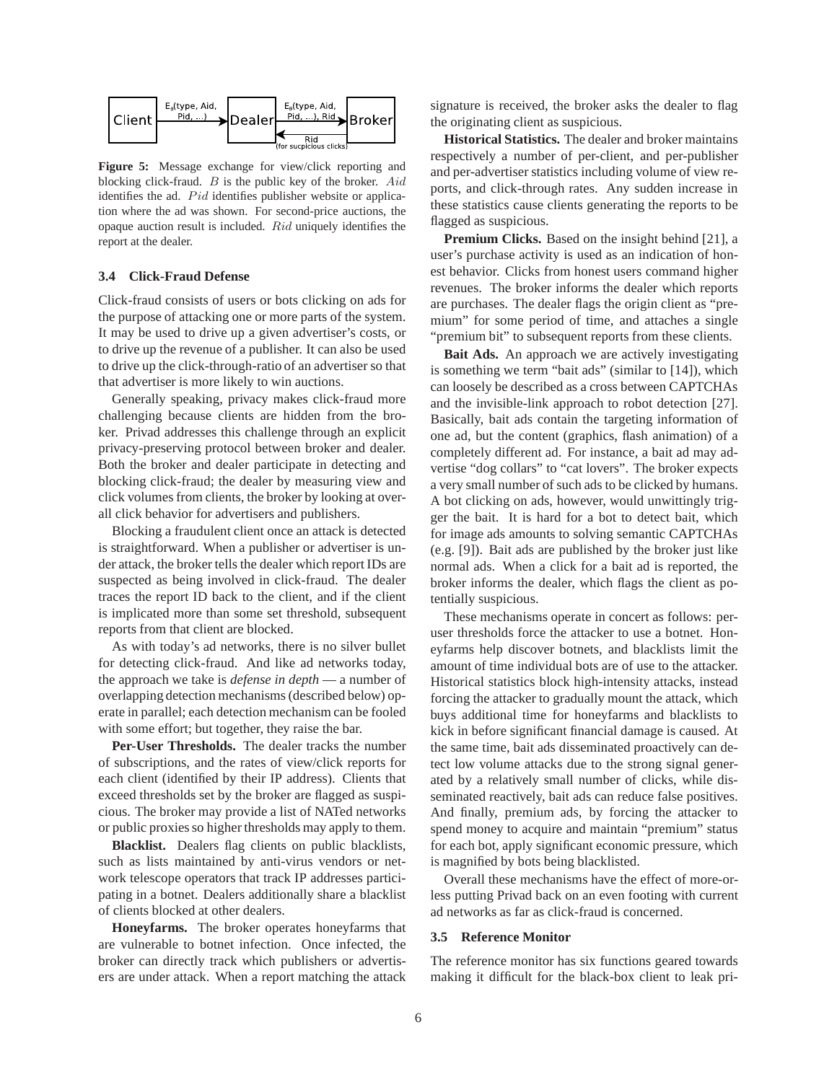

**Figure 5:** Message exchange for view/click reporting and blocking click-fraud.  $B$  is the public key of the broker.  $Aid$ identifies the ad. Pid identifies publisher website or application where the ad was shown. For second-price auctions, the opaque auction result is included. Rid uniquely identifies the report at the dealer.

## **3.4 Click-Fraud Defense**

Click-fraud consists of users or bots clicking on ads for the purpose of attacking one or more parts of the system. It may be used to drive up a given advertiser's costs, or to drive up the revenue of a publisher. It can also be used to drive up the click-through-ratio of an advertiser so that that advertiser is more likely to win auctions.

Generally speaking, privacy makes click-fraud more challenging because clients are hidden from the broker. Privad addresses this challenge through an explicit privacy-preserving protocol between broker and dealer. Both the broker and dealer participate in detecting and blocking click-fraud; the dealer by measuring view and click volumes from clients, the broker by looking at overall click behavior for advertisers and publishers.

Blocking a fraudulent client once an attack is detected is straightforward. When a publisher or advertiser is under attack, the broker tells the dealer which report IDs are suspected as being involved in click-fraud. The dealer traces the report ID back to the client, and if the client is implicated more than some set threshold, subsequent reports from that client are blocked.

As with today's ad networks, there is no silver bullet for detecting click-fraud. And like ad networks today, the approach we take is *defense in depth* — a number of overlapping detection mechanisms (described below) operate in parallel; each detection mechanism can be fooled with some effort; but together, they raise the bar.

**Per-User Thresholds.** The dealer tracks the number of subscriptions, and the rates of view/click reports for each client (identified by their IP address). Clients that exceed thresholds set by the broker are flagged as suspicious. The broker may provide a list of NATed networks or public proxies so higher thresholds may apply to them.

**Blacklist.** Dealers flag clients on public blacklists, such as lists maintained by anti-virus vendors or network telescope operators that track IP addresses participating in a botnet. Dealers additionally share a blacklist of clients blocked at other dealers.

**Honeyfarms.** The broker operates honeyfarms that are vulnerable to botnet infection. Once infected, the broker can directly track which publishers or advertisers are under attack. When a report matching the attack signature is received, the broker asks the dealer to flag the originating client as suspicious.

**Historical Statistics.** The dealer and broker maintains respectively a number of per-client, and per-publisher and per-advertiser statistics including volume of view reports, and click-through rates. Any sudden increase in these statistics cause clients generating the reports to be flagged as suspicious.

**Premium Clicks.** Based on the insight behind [21], a user's purchase activity is used as an indication of honest behavior. Clicks from honest users command higher revenues. The broker informs the dealer which reports are purchases. The dealer flags the origin client as "premium" for some period of time, and attaches a single "premium bit" to subsequent reports from these clients.

**Bait Ads.** An approach we are actively investigating is something we term "bait ads" (similar to [14]), which can loosely be described as a cross between CAPTCHAs and the invisible-link approach to robot detection [27]. Basically, bait ads contain the targeting information of one ad, but the content (graphics, flash animation) of a completely different ad. For instance, a bait ad may advertise "dog collars" to "cat lovers". The broker expects a very small number of such ads to be clicked by humans. A bot clicking on ads, however, would unwittingly trigger the bait. It is hard for a bot to detect bait, which for image ads amounts to solving semantic CAPTCHAs (e.g. [9]). Bait ads are published by the broker just like normal ads. When a click for a bait ad is reported, the broker informs the dealer, which flags the client as potentially suspicious.

These mechanisms operate in concert as follows: peruser thresholds force the attacker to use a botnet. Honeyfarms help discover botnets, and blacklists limit the amount of time individual bots are of use to the attacker. Historical statistics block high-intensity attacks, instead forcing the attacker to gradually mount the attack, which buys additional time for honeyfarms and blacklists to kick in before significant financial damage is caused. At the same time, bait ads disseminated proactively can detect low volume attacks due to the strong signal generated by a relatively small number of clicks, while disseminated reactively, bait ads can reduce false positives. And finally, premium ads, by forcing the attacker to spend money to acquire and maintain "premium" status for each bot, apply significant economic pressure, which is magnified by bots being blacklisted.

Overall these mechanisms have the effect of more-orless putting Privad back on an even footing with current ad networks as far as click-fraud is concerned.

#### **3.5 Reference Monitor**

The reference monitor has six functions geared towards making it difficult for the black-box client to leak pri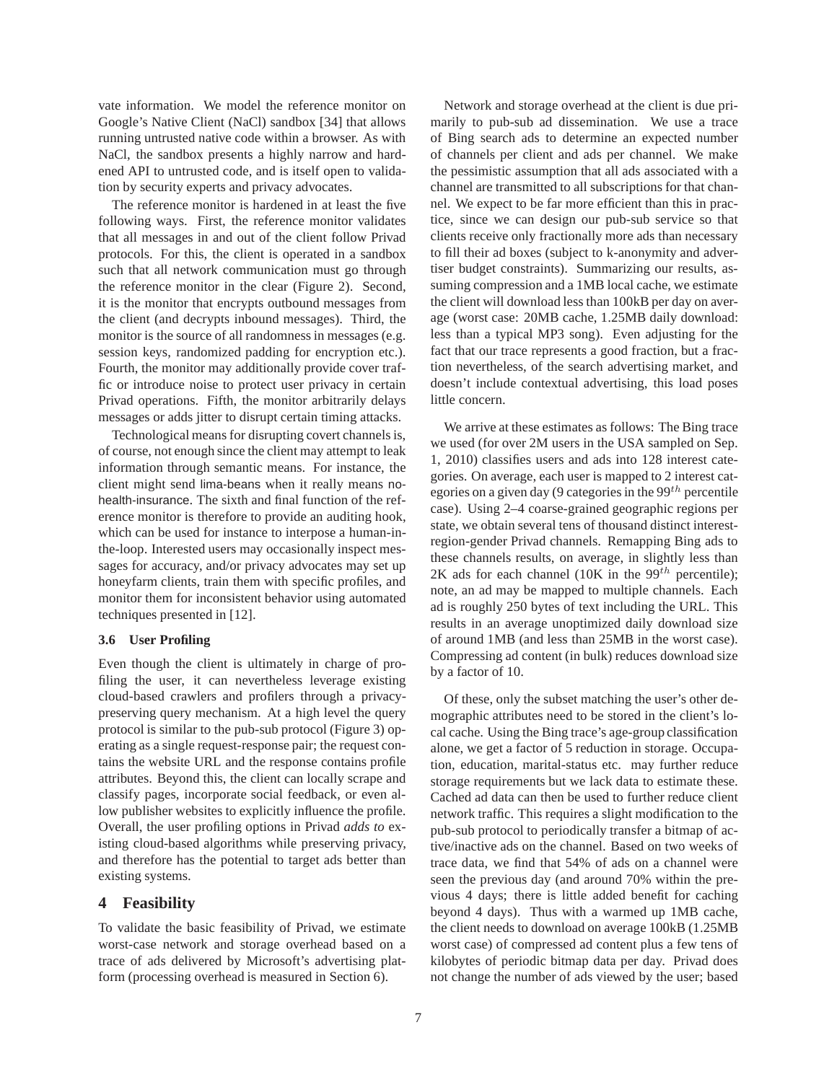vate information. We model the reference monitor on Google's Native Client (NaCl) sandbox [34] that allows running untrusted native code within a browser. As with NaCl, the sandbox presents a highly narrow and hardened API to untrusted code, and is itself open to validation by security experts and privacy advocates.

The reference monitor is hardened in at least the five following ways. First, the reference monitor validates that all messages in and out of the client follow Privad protocols. For this, the client is operated in a sandbox such that all network communication must go through the reference monitor in the clear (Figure 2). Second, it is the monitor that encrypts outbound messages from the client (and decrypts inbound messages). Third, the monitor is the source of all randomness in messages (e.g. session keys, randomized padding for encryption etc.). Fourth, the monitor may additionally provide cover traffic or introduce noise to protect user privacy in certain Privad operations. Fifth, the monitor arbitrarily delays messages or adds jitter to disrupt certain timing attacks.

Technological means for disrupting covert channels is, of course, not enough since the client may attempt to leak information through semantic means. For instance, the client might send lima-beans when it really means nohealth-insurance. The sixth and final function of the reference monitor is therefore to provide an auditing hook, which can be used for instance to interpose a human-inthe-loop. Interested users may occasionally inspect messages for accuracy, and/or privacy advocates may set up honeyfarm clients, train them with specific profiles, and monitor them for inconsistent behavior using automated techniques presented in [12].

#### **3.6 User Profiling**

Even though the client is ultimately in charge of profiling the user, it can nevertheless leverage existing cloud-based crawlers and profilers through a privacypreserving query mechanism. At a high level the query protocol is similar to the pub-sub protocol (Figure 3) operating as a single request-response pair; the request contains the website URL and the response contains profile attributes. Beyond this, the client can locally scrape and classify pages, incorporate social feedback, or even allow publisher websites to explicitly influence the profile. Overall, the user profiling options in Privad *adds to* existing cloud-based algorithms while preserving privacy, and therefore has the potential to target ads better than existing systems.

## **4 Feasibility**

To validate the basic feasibility of Privad, we estimate worst-case network and storage overhead based on a trace of ads delivered by Microsoft's advertising platform (processing overhead is measured in Section 6).

Network and storage overhead at the client is due primarily to pub-sub ad dissemination. We use a trace of Bing search ads to determine an expected number of channels per client and ads per channel. We make the pessimistic assumption that all ads associated with a channel are transmitted to all subscriptions for that channel. We expect to be far more efficient than this in practice, since we can design our pub-sub service so that clients receive only fractionally more ads than necessary to fill their ad boxes (subject to k-anonymity and advertiser budget constraints). Summarizing our results, assuming compression and a 1MB local cache, we estimate the client will download less than 100kB per day on average (worst case: 20MB cache, 1.25MB daily download: less than a typical MP3 song). Even adjusting for the fact that our trace represents a good fraction, but a fraction nevertheless, of the search advertising market, and doesn't include contextual advertising, this load poses little concern.

We arrive at these estimates as follows: The Bing trace we used (for over 2M users in the USA sampled on Sep. 1, 2010) classifies users and ads into 128 interest categories. On average, each user is mapped to 2 interest categories on a given day (9 categories in the  $99<sup>th</sup>$  percentile case). Using 2–4 coarse-grained geographic regions per state, we obtain several tens of thousand distinct interestregion-gender Privad channels. Remapping Bing ads to these channels results, on average, in slightly less than 2K ads for each channel (10K in the  $99^{th}$  percentile); note, an ad may be mapped to multiple channels. Each ad is roughly 250 bytes of text including the URL. This results in an average unoptimized daily download size of around 1MB (and less than 25MB in the worst case). Compressing ad content (in bulk) reduces download size by a factor of 10.

Of these, only the subset matching the user's other demographic attributes need to be stored in the client's local cache. Using the Bing trace's age-group classification alone, we get a factor of 5 reduction in storage. Occupation, education, marital-status etc. may further reduce storage requirements but we lack data to estimate these. Cached ad data can then be used to further reduce client network traffic. This requires a slight modification to the pub-sub protocol to periodically transfer a bitmap of active/inactive ads on the channel. Based on two weeks of trace data, we find that 54% of ads on a channel were seen the previous day (and around 70% within the previous 4 days; there is little added benefit for caching beyond 4 days). Thus with a warmed up 1MB cache, the client needs to download on average 100kB (1.25MB worst case) of compressed ad content plus a few tens of kilobytes of periodic bitmap data per day. Privad does not change the number of ads viewed by the user; based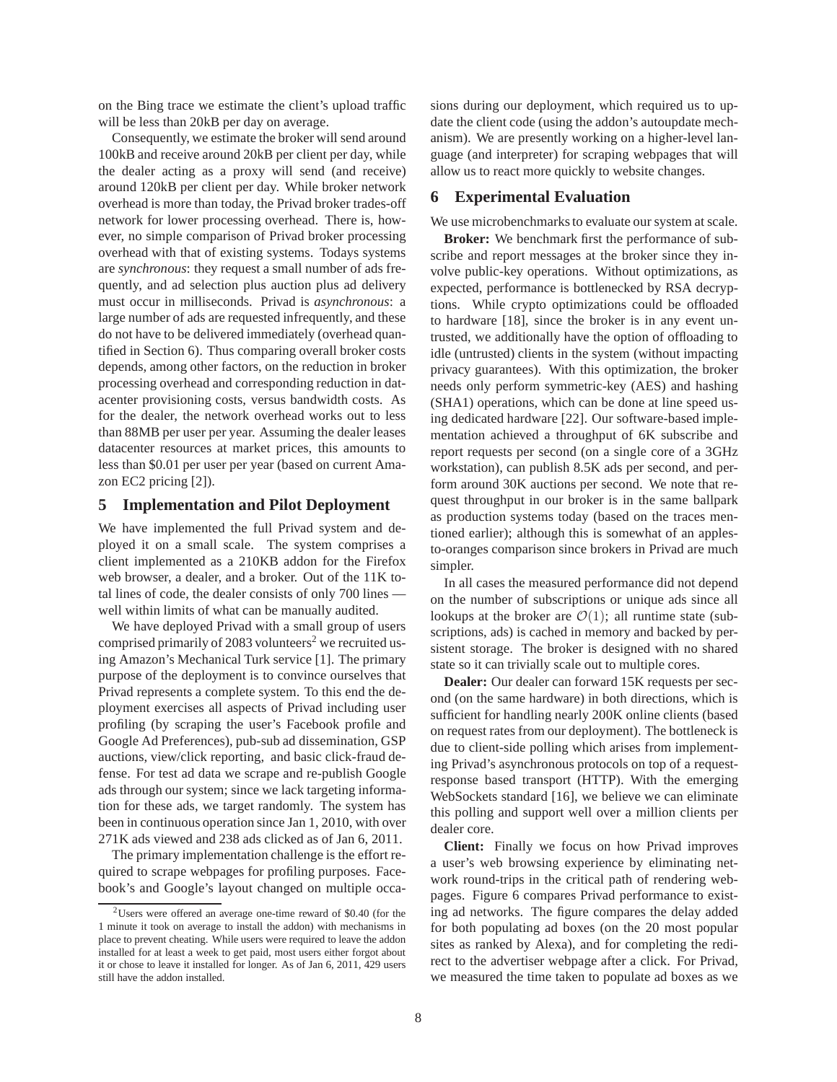on the Bing trace we estimate the client's upload traffic will be less than 20 kB per day on average.

Consequently, we estimate the broker will send around 100kB and receive around 20kB per client per day, while the dealer acting as a proxy will send (and receive) around 120kB per client per day. While broker network overhead is more than today, the Privad broker trades-off network for lower processing overhead. There is, however, no simple comparison of Privad broker processing overhead with that of existing systems. Todays systems are *synchronous*: they request a small number of ads frequently, and ad selection plus auction plus ad delivery must occur in milliseconds. Privad is *asynchronous*: a large number of ads are requested infrequently, and these do not have to be delivered immediately (overhead quantified in Section 6). Thus comparing overall broker costs depends, among other factors, on the reduction in broker processing overhead and corresponding reduction in datacenter provisioning costs, versus bandwidth costs. As for the dealer, the network overhead works out to less than 88MB per user per year. Assuming the dealer leases datacenter resources at market prices, this amounts to less than \$0.01 per user per year (based on current Amazon EC2 pricing [2]).

## **5 Implementation and Pilot Deployment**

We have implemented the full Privad system and deployed it on a small scale. The system comprises a client implemented as a 210KB addon for the Firefox web browser, a dealer, and a broker. Out of the 11K total lines of code, the dealer consists of only 700 lines well within limits of what can be manually audited.

We have deployed Privad with a small group of users comprised primarily of 2083 volunteers<sup>2</sup> we recruited using Amazon's Mechanical Turk service [1]. The primary purpose of the deployment is to convince ourselves that Privad represents a complete system. To this end the deployment exercises all aspects of Privad including user profiling (by scraping the user's Facebook profile and Google Ad Preferences), pub-sub ad dissemination, GSP auctions, view/click reporting, and basic click-fraud defense. For test ad data we scrape and re-publish Google ads through our system; since we lack targeting information for these ads, we target randomly. The system has been in continuous operation since Jan 1, 2010, with over 271K ads viewed and 238 ads clicked as of Jan 6, 2011.

The primary implementation challenge is the effort required to scrape webpages for profiling purposes. Facebook's and Google's layout changed on multiple occasions during our deployment, which required us to update the client code (using the addon's autoupdate mechanism). We are presently working on a higher-level language (and interpreter) for scraping webpages that will allow us to react more quickly to website changes.

## **6 Experimental Evaluation**

We use microbenchmarks to evaluate our system at scale.

**Broker:** We benchmark first the performance of subscribe and report messages at the broker since they involve public-key operations. Without optimizations, as expected, performance is bottlenecked by RSA decryptions. While crypto optimizations could be offloaded to hardware [18], since the broker is in any event untrusted, we additionally have the option of offloading to idle (untrusted) clients in the system (without impacting privacy guarantees). With this optimization, the broker needs only perform symmetric-key (AES) and hashing (SHA1) operations, which can be done at line speed using dedicated hardware [22]. Our software-based implementation achieved a throughput of 6K subscribe and report requests per second (on a single core of a 3GHz workstation), can publish 8.5K ads per second, and perform around 30K auctions per second. We note that request throughput in our broker is in the same ballpark as production systems today (based on the traces mentioned earlier); although this is somewhat of an applesto-oranges comparison since brokers in Privad are much simpler.

In all cases the measured performance did not depend on the number of subscriptions or unique ads since all lookups at the broker are  $\mathcal{O}(1)$ ; all runtime state (subscriptions, ads) is cached in memory and backed by persistent storage. The broker is designed with no shared state so it can trivially scale out to multiple cores.

**Dealer:** Our dealer can forward 15K requests per second (on the same hardware) in both directions, which is sufficient for handling nearly 200K online clients (based on request rates from our deployment). The bottleneck is due to client-side polling which arises from implementing Privad's asynchronous protocols on top of a requestresponse based transport (HTTP). With the emerging WebSockets standard [16], we believe we can eliminate this polling and support well over a million clients per dealer core.

**Client:** Finally we focus on how Privad improves a user's web browsing experience by eliminating network round-trips in the critical path of rendering webpages. Figure 6 compares Privad performance to existing ad networks. The figure compares the delay added for both populating ad boxes (on the 20 most popular sites as ranked by Alexa), and for completing the redirect to the advertiser webpage after a click. For Privad, we measured the time taken to populate ad boxes as we

<sup>2</sup>Users were offered an average one-time reward of \$0.40 (for the 1 minute it took on average to install the addon) with mechanisms in place to prevent cheating. While users were required to leave the addon installed for at least a week to get paid, most users either forgot about it or chose to leave it installed for longer. As of Jan 6, 2011, 429 users still have the addon installed.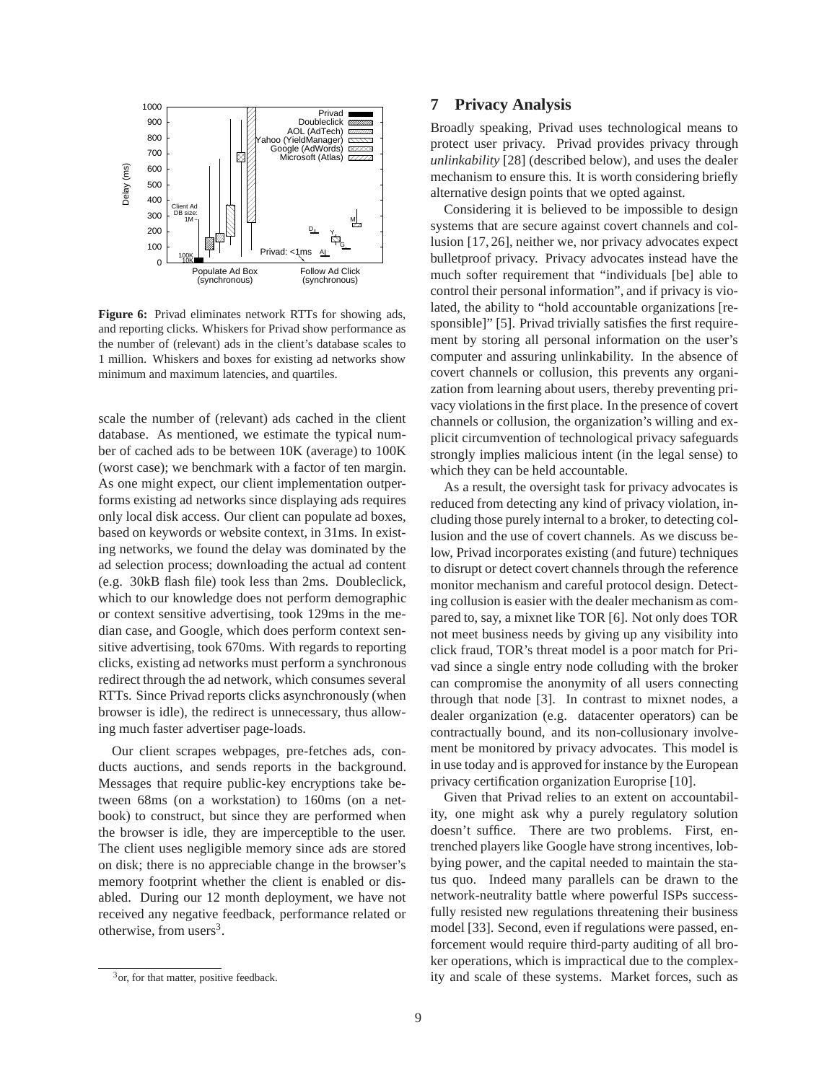

**Figure 6:** Privad eliminates network RTTs for showing ads, and reporting clicks. Whiskers for Privad show performance as the number of (relevant) ads in the client's database scales to 1 million. Whiskers and boxes for existing ad networks show minimum and maximum latencies, and quartiles.

scale the number of (relevant) ads cached in the client database. As mentioned, we estimate the typical number of cached ads to be between 10K (average) to 100K (worst case); we benchmark with a factor of ten margin. As one might expect, our client implementation outperforms existing ad networks since displaying ads requires only local disk access. Our client can populate ad boxes, based on keywords or website context, in 31ms. In existing networks, we found the delay was dominated by the ad selection process; downloading the actual ad content (e.g. 30kB flash file) took less than 2ms. Doubleclick, which to our knowledge does not perform demographic or context sensitive advertising, took 129ms in the median case, and Google, which does perform context sensitive advertising, took 670ms. With regards to reporting clicks, existing ad networks must perform a synchronous redirect through the ad network, which consumes several RTTs. Since Privad reports clicks asynchronously (when browser is idle), the redirect is unnecessary, thus allowing much faster advertiser page-loads.

Our client scrapes webpages, pre-fetches ads, conducts auctions, and sends reports in the background. Messages that require public-key encryptions take between 68ms (on a workstation) to 160ms (on a netbook) to construct, but since they are performed when the browser is idle, they are imperceptible to the user. The client uses negligible memory since ads are stored on disk; there is no appreciable change in the browser's memory footprint whether the client is enabled or disabled. During our 12 month deployment, we have not received any negative feedback, performance related or otherwise, from users<sup>3</sup>.

## mechanism to ensure this. It is worth considering briefly alternative design points that we opted against.

**7 Privacy Analysis**

Considering it is believed to be impossible to design systems that are secure against covert channels and collusion [17, 26], neither we, nor privacy advocates expect bulletproof privacy. Privacy advocates instead have the much softer requirement that "individuals [be] able to control their personal information", and if privacy is violated, the ability to "hold accountable organizations [responsible]" [5]. Privad trivially satisfies the first requirement by storing all personal information on the user's computer and assuring unlinkability. In the absence of covert channels or collusion, this prevents any organization from learning about users, thereby preventing privacy violations in the first place. In the presence of covert channels or collusion, the organization's willing and explicit circumvention of technological privacy safeguards strongly implies malicious intent (in the legal sense) to which they can be held accountable.

Broadly speaking, Privad uses technological means to protect user privacy. Privad provides privacy through *unlinkability* [28] (described below), and uses the dealer

As a result, the oversight task for privacy advocates is reduced from detecting any kind of privacy violation, including those purely internal to a broker, to detecting collusion and the use of covert channels. As we discuss below, Privad incorporates existing (and future) techniques to disrupt or detect covert channels through the reference monitor mechanism and careful protocol design. Detecting collusion is easier with the dealer mechanism as compared to, say, a mixnet like TOR [6]. Not only does TOR not meet business needs by giving up any visibility into click fraud, TOR's threat model is a poor match for Privad since a single entry node colluding with the broker can compromise the anonymity of all users connecting through that node [3]. In contrast to mixnet nodes, a dealer organization (e.g. datacenter operators) can be contractually bound, and its non-collusionary involvement be monitored by privacy advocates. This model is in use today and is approved for instance by the European privacy certification organization Europrise [10].

Given that Privad relies to an extent on accountability, one might ask why a purely regulatory solution doesn't suffice. There are two problems. First, entrenched players like Google have strong incentives, lobbying power, and the capital needed to maintain the status quo. Indeed many parallels can be drawn to the network-neutrality battle where powerful ISPs successfully resisted new regulations threatening their business model [33]. Second, even if regulations were passed, enforcement would require third-party auditing of all broker operations, which is impractical due to the complexity and scale of these systems. Market forces, such as

<sup>&</sup>lt;sup>3</sup> or, for that matter, positive feedback.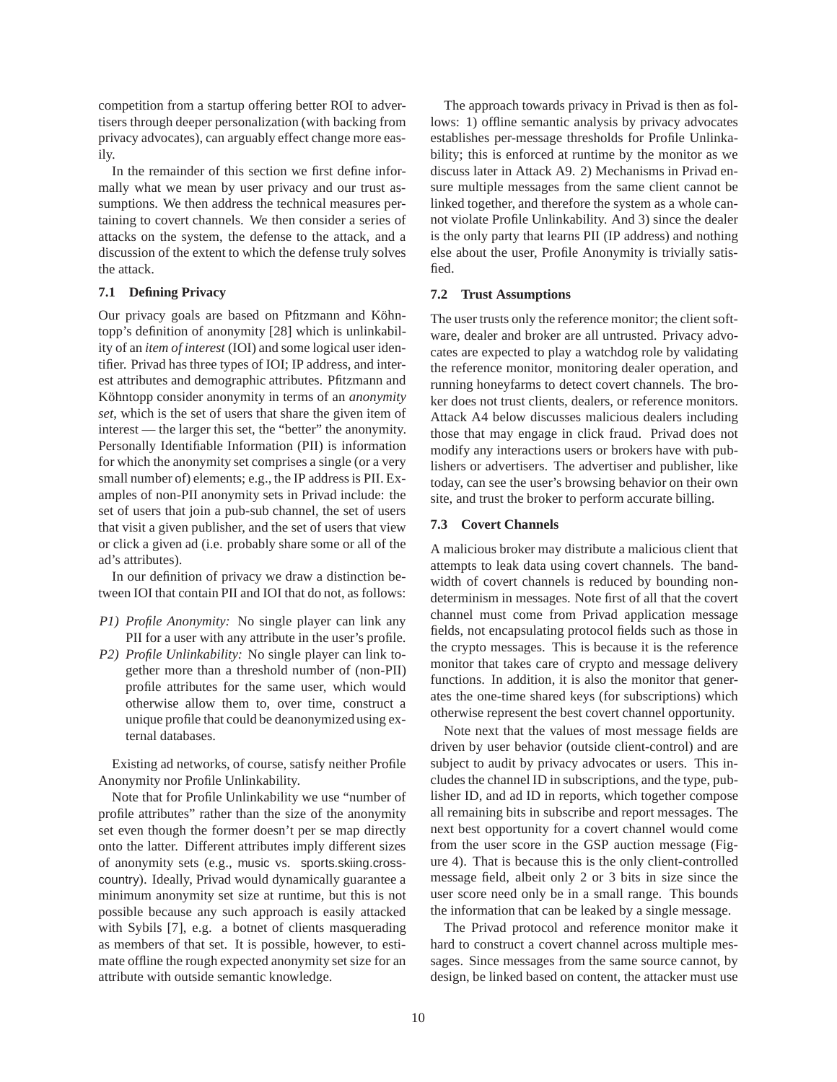competition from a startup offering better ROI to advertisers through deeper personalization (with backing from privacy advocates), can arguably effect change more easily.

In the remainder of this section we first define informally what we mean by user privacy and our trust assumptions. We then address the technical measures pertaining to covert channels. We then consider a series of attacks on the system, the defense to the attack, and a discussion of the extent to which the defense truly solves the attack.

## **7.1 Defining Privacy**

Our privacy goals are based on Pfitzmann and Köhntopp's definition of anonymity [28] which is unlinkability of an *item of interest* (IOI) and some logical user identifier. Privad has three types of IOI; IP address, and interest attributes and demographic attributes. Pfitzmann and Köhntopp consider anonymity in terms of an *anonymity set*, which is the set of users that share the given item of interest — the larger this set, the "better" the anonymity. Personally Identifiable Information (PII) is information for which the anonymity set comprises a single (or a very small number of) elements; e.g., the IP address is PII. Examples of non-PII anonymity sets in Privad include: the set of users that join a pub-sub channel, the set of users that visit a given publisher, and the set of users that view or click a given ad (i.e. probably share some or all of the ad's attributes).

In our definition of privacy we draw a distinction between IOI that contain PII and IOI that do not, as follows:

- *P1) Profile Anonymity:* No single player can link any PII for a user with any attribute in the user's profile.
- *P2) Profile Unlinkability:* No single player can link together more than a threshold number of (non-PII) profile attributes for the same user, which would otherwise allow them to, over time, construct a unique profile that could be deanonymized using external databases.

Existing ad networks, of course, satisfy neither Profile Anonymity nor Profile Unlinkability.

Note that for Profile Unlinkability we use "number of profile attributes" rather than the size of the anonymity set even though the former doesn't per se map directly onto the latter. Different attributes imply different sizes of anonymity sets (e.g., music vs. sports.skiing.crosscountry). Ideally, Privad would dynamically guarantee a minimum anonymity set size at runtime, but this is not possible because any such approach is easily attacked with Sybils [7], e.g. a botnet of clients masquerading as members of that set. It is possible, however, to estimate offline the rough expected anonymity set size for an attribute with outside semantic knowledge.

The approach towards privacy in Privad is then as follows: 1) offline semantic analysis by privacy advocates establishes per-message thresholds for Profile Unlinkability; this is enforced at runtime by the monitor as we discuss later in Attack A9. 2) Mechanisms in Privad ensure multiple messages from the same client cannot be linked together, and therefore the system as a whole cannot violate Profile Unlinkability. And 3) since the dealer is the only party that learns PII (IP address) and nothing else about the user, Profile Anonymity is trivially satisfied.

#### **7.2 Trust Assumptions**

The user trusts only the reference monitor; the client software, dealer and broker are all untrusted. Privacy advocates are expected to play a watchdog role by validating the reference monitor, monitoring dealer operation, and running honeyfarms to detect covert channels. The broker does not trust clients, dealers, or reference monitors. Attack A4 below discusses malicious dealers including those that may engage in click fraud. Privad does not modify any interactions users or brokers have with publishers or advertisers. The advertiser and publisher, like today, can see the user's browsing behavior on their own site, and trust the broker to perform accurate billing.

#### **7.3 Covert Channels**

A malicious broker may distribute a malicious client that attempts to leak data using covert channels. The bandwidth of covert channels is reduced by bounding nondeterminism in messages. Note first of all that the covert channel must come from Privad application message fields, not encapsulating protocol fields such as those in the crypto messages. This is because it is the reference monitor that takes care of crypto and message delivery functions. In addition, it is also the monitor that generates the one-time shared keys (for subscriptions) which otherwise represent the best covert channel opportunity.

Note next that the values of most message fields are driven by user behavior (outside client-control) and are subject to audit by privacy advocates or users. This includes the channel ID in subscriptions, and the type, publisher ID, and ad ID in reports, which together compose all remaining bits in subscribe and report messages. The next best opportunity for a covert channel would come from the user score in the GSP auction message (Figure 4). That is because this is the only client-controlled message field, albeit only 2 or 3 bits in size since the user score need only be in a small range. This bounds the information that can be leaked by a single message.

The Privad protocol and reference monitor make it hard to construct a covert channel across multiple messages. Since messages from the same source cannot, by design, be linked based on content, the attacker must use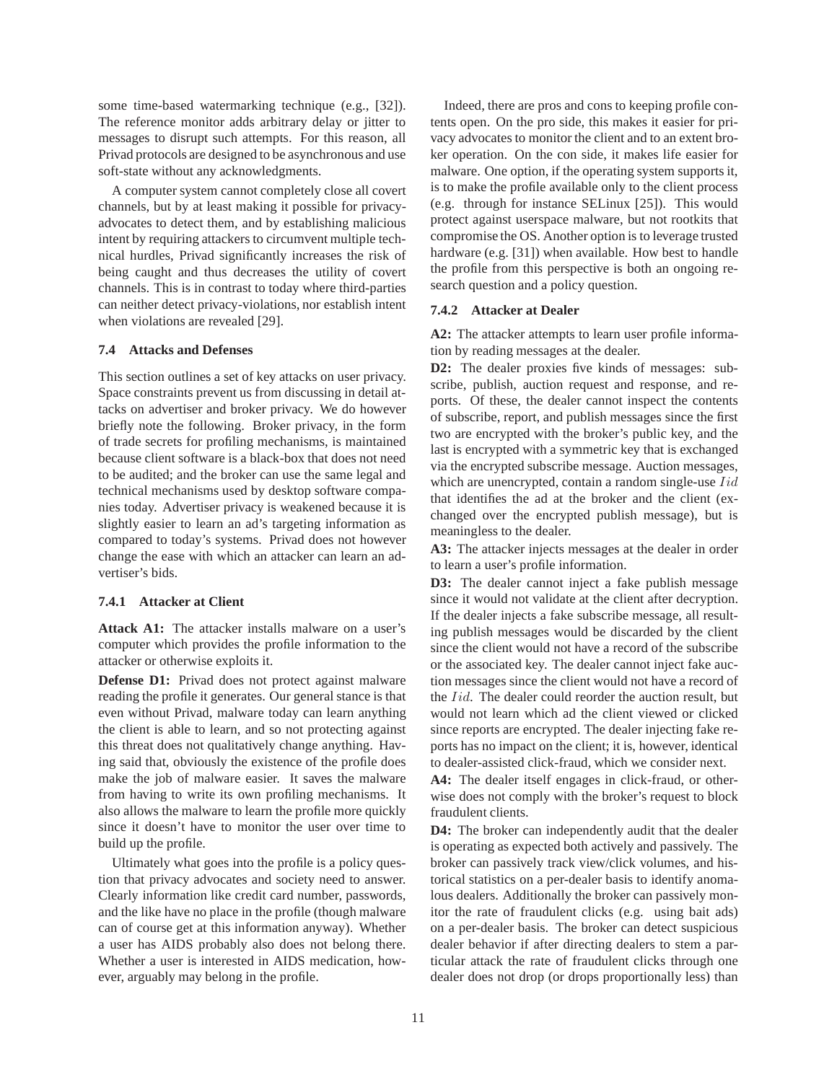some time-based watermarking technique (e.g., [32]). The reference monitor adds arbitrary delay or jitter to messages to disrupt such attempts. For this reason, all Privad protocols are designed to be asynchronous and use soft-state without any acknowledgments.

A computer system cannot completely close all covert channels, but by at least making it possible for privacyadvocates to detect them, and by establishing malicious intent by requiring attackers to circumvent multiple technical hurdles, Privad significantly increases the risk of being caught and thus decreases the utility of covert channels. This is in contrast to today where third-parties can neither detect privacy-violations, nor establish intent when violations are revealed [29].

#### **7.4 Attacks and Defenses**

This section outlines a set of key attacks on user privacy. Space constraints prevent us from discussing in detail attacks on advertiser and broker privacy. We do however briefly note the following. Broker privacy, in the form of trade secrets for profiling mechanisms, is maintained because client software is a black-box that does not need to be audited; and the broker can use the same legal and technical mechanisms used by desktop software companies today. Advertiser privacy is weakened because it is slightly easier to learn an ad's targeting information as compared to today's systems. Privad does not however change the ease with which an attacker can learn an advertiser's bids.

#### **7.4.1 Attacker at Client**

**Attack A1:** The attacker installs malware on a user's computer which provides the profile information to the attacker or otherwise exploits it.

**Defense D1:** Privad does not protect against malware reading the profile it generates. Our general stance is that even without Privad, malware today can learn anything the client is able to learn, and so not protecting against this threat does not qualitatively change anything. Having said that, obviously the existence of the profile does make the job of malware easier. It saves the malware from having to write its own profiling mechanisms. It also allows the malware to learn the profile more quickly since it doesn't have to monitor the user over time to build up the profile.

Ultimately what goes into the profile is a policy question that privacy advocates and society need to answer. Clearly information like credit card number, passwords, and the like have no place in the profile (though malware can of course get at this information anyway). Whether a user has AIDS probably also does not belong there. Whether a user is interested in AIDS medication, however, arguably may belong in the profile.

Indeed, there are pros and cons to keeping profile contents open. On the pro side, this makes it easier for privacy advocates to monitor the client and to an extent broker operation. On the con side, it makes life easier for malware. One option, if the operating system supports it, is to make the profile available only to the client process (e.g. through for instance SELinux [25]). This would protect against userspace malware, but not rootkits that compromise the OS. Another option is to leverage trusted hardware (e.g. [31]) when available. How best to handle the profile from this perspective is both an ongoing research question and a policy question.

#### **7.4.2 Attacker at Dealer**

**A2:** The attacker attempts to learn user profile information by reading messages at the dealer.

**D2:** The dealer proxies five kinds of messages: subscribe, publish, auction request and response, and reports. Of these, the dealer cannot inspect the contents of subscribe, report, and publish messages since the first two are encrypted with the broker's public key, and the last is encrypted with a symmetric key that is exchanged via the encrypted subscribe message. Auction messages, which are unencrypted, contain a random single-use *Iid* that identifies the ad at the broker and the client (exchanged over the encrypted publish message), but is meaningless to the dealer.

**A3:** The attacker injects messages at the dealer in order to learn a user's profile information.

**D3:** The dealer cannot inject a fake publish message since it would not validate at the client after decryption. If the dealer injects a fake subscribe message, all resulting publish messages would be discarded by the client since the client would not have a record of the subscribe or the associated key. The dealer cannot inject fake auction messages since the client would not have a record of the *Iid*. The dealer could reorder the auction result, but would not learn which ad the client viewed or clicked since reports are encrypted. The dealer injecting fake reports has no impact on the client; it is, however, identical to dealer-assisted click-fraud, which we consider next.

**A4:** The dealer itself engages in click-fraud, or otherwise does not comply with the broker's request to block fraudulent clients.

**D4:** The broker can independently audit that the dealer is operating as expected both actively and passively. The broker can passively track view/click volumes, and historical statistics on a per-dealer basis to identify anomalous dealers. Additionally the broker can passively monitor the rate of fraudulent clicks (e.g. using bait ads) on a per-dealer basis. The broker can detect suspicious dealer behavior if after directing dealers to stem a particular attack the rate of fraudulent clicks through one dealer does not drop (or drops proportionally less) than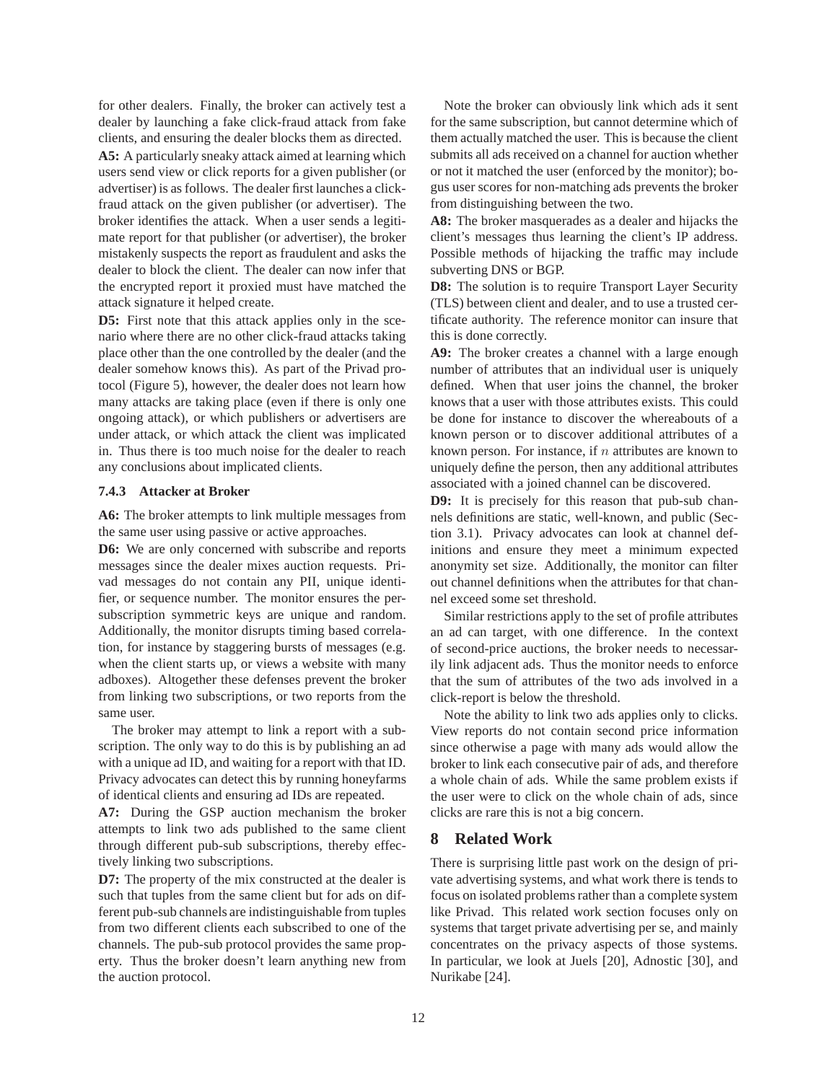for other dealers. Finally, the broker can actively test a dealer by launching a fake click-fraud attack from fake clients, and ensuring the dealer blocks them as directed.

**A5:** A particularly sneaky attack aimed at learning which users send view or click reports for a given publisher (or advertiser) is as follows. The dealer first launches a clickfraud attack on the given publisher (or advertiser). The broker identifies the attack. When a user sends a legitimate report for that publisher (or advertiser), the broker mistakenly suspects the report as fraudulent and asks the dealer to block the client. The dealer can now infer that the encrypted report it proxied must have matched the attack signature it helped create.

**D5:** First note that this attack applies only in the scenario where there are no other click-fraud attacks taking place other than the one controlled by the dealer (and the dealer somehow knows this). As part of the Privad protocol (Figure 5), however, the dealer does not learn how many attacks are taking place (even if there is only one ongoing attack), or which publishers or advertisers are under attack, or which attack the client was implicated in. Thus there is too much noise for the dealer to reach any conclusions about implicated clients.

#### **7.4.3 Attacker at Broker**

**A6:** The broker attempts to link multiple messages from the same user using passive or active approaches.

**D6:** We are only concerned with subscribe and reports messages since the dealer mixes auction requests. Privad messages do not contain any PII, unique identifier, or sequence number. The monitor ensures the persubscription symmetric keys are unique and random. Additionally, the monitor disrupts timing based correlation, for instance by staggering bursts of messages (e.g. when the client starts up, or views a website with many adboxes). Altogether these defenses prevent the broker from linking two subscriptions, or two reports from the same user.

The broker may attempt to link a report with a subscription. The only way to do this is by publishing an ad with a unique ad ID, and waiting for a report with that ID. Privacy advocates can detect this by running honeyfarms of identical clients and ensuring ad IDs are repeated.

**A7:** During the GSP auction mechanism the broker attempts to link two ads published to the same client through different pub-sub subscriptions, thereby effectively linking two subscriptions.

**D7:** The property of the mix constructed at the dealer is such that tuples from the same client but for ads on different pub-sub channels are indistinguishable from tuples from two different clients each subscribed to one of the channels. The pub-sub protocol provides the same property. Thus the broker doesn't learn anything new from the auction protocol.

Note the broker can obviously link which ads it sent for the same subscription, but cannot determine which of them actually matched the user. This is because the client submits all ads received on a channel for auction whether or not it matched the user (enforced by the monitor); bogus user scores for non-matching ads prevents the broker from distinguishing between the two.

**A8:** The broker masquerades as a dealer and hijacks the client's messages thus learning the client's IP address. Possible methods of hijacking the traffic may include subverting DNS or BGP.

**D8:** The solution is to require Transport Layer Security (TLS) between client and dealer, and to use a trusted certificate authority. The reference monitor can insure that this is done correctly.

**A9:** The broker creates a channel with a large enough number of attributes that an individual user is uniquely defined. When that user joins the channel, the broker knows that a user with those attributes exists. This could be done for instance to discover the whereabouts of a known person or to discover additional attributes of a known person. For instance, if  $n$  attributes are known to uniquely define the person, then any additional attributes associated with a joined channel can be discovered.

**D9:** It is precisely for this reason that pub-sub channels definitions are static, well-known, and public (Section 3.1). Privacy advocates can look at channel definitions and ensure they meet a minimum expected anonymity set size. Additionally, the monitor can filter out channel definitions when the attributes for that channel exceed some set threshold.

Similar restrictions apply to the set of profile attributes an ad can target, with one difference. In the context of second-price auctions, the broker needs to necessarily link adjacent ads. Thus the monitor needs to enforce that the sum of attributes of the two ads involved in a click-report is below the threshold.

Note the ability to link two ads applies only to clicks. View reports do not contain second price information since otherwise a page with many ads would allow the broker to link each consecutive pair of ads, and therefore a whole chain of ads. While the same problem exists if the user were to click on the whole chain of ads, since clicks are rare this is not a big concern.

# **8 Related Work**

There is surprising little past work on the design of private advertising systems, and what work there is tends to focus on isolated problems rather than a complete system like Privad. This related work section focuses only on systems that target private advertising per se, and mainly concentrates on the privacy aspects of those systems. In particular, we look at Juels [20], Adnostic [30], and Nurikabe [24].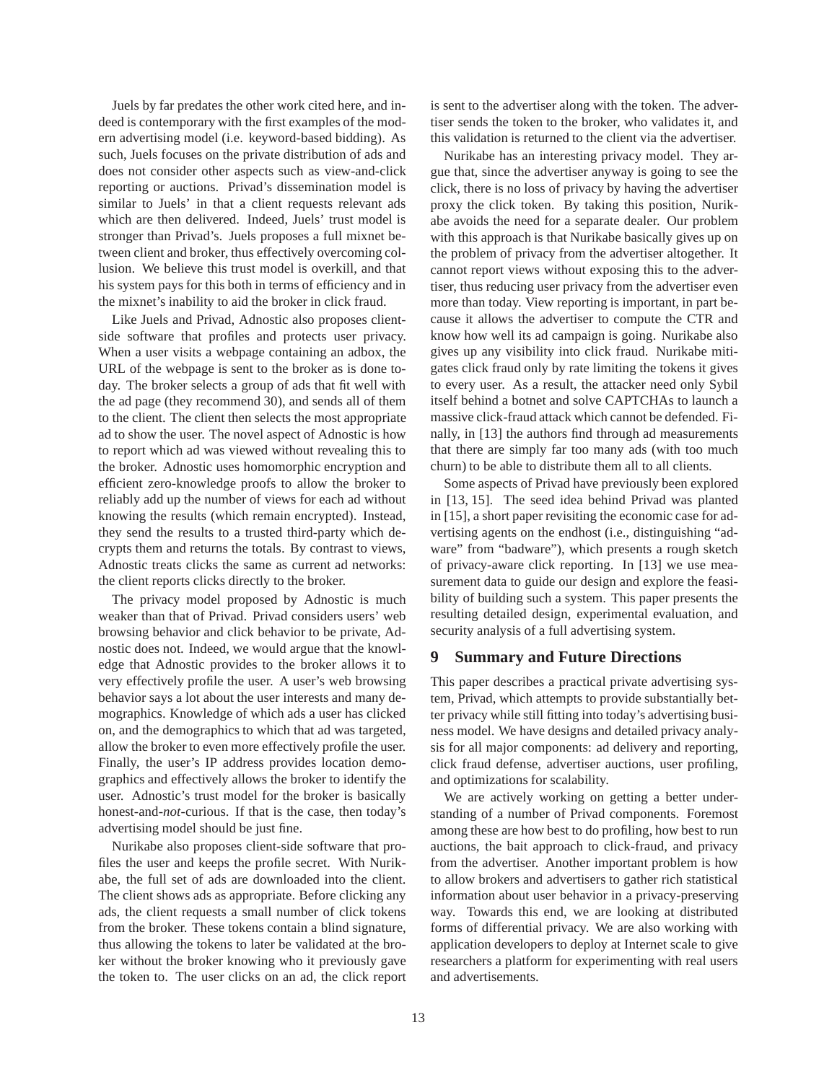Juels by far predates the other work cited here, and indeed is contemporary with the first examples of the modern advertising model (i.e. keyword-based bidding). As such, Juels focuses on the private distribution of ads and does not consider other aspects such as view-and-click reporting or auctions. Privad's dissemination model is similar to Juels' in that a client requests relevant ads which are then delivered. Indeed, Juels' trust model is stronger than Privad's. Juels proposes a full mixnet between client and broker, thus effectively overcoming collusion. We believe this trust model is overkill, and that his system pays for this both in terms of efficiency and in the mixnet's inability to aid the broker in click fraud.

Like Juels and Privad, Adnostic also proposes clientside software that profiles and protects user privacy. When a user visits a webpage containing an adbox, the URL of the webpage is sent to the broker as is done today. The broker selects a group of ads that fit well with the ad page (they recommend 30), and sends all of them to the client. The client then selects the most appropriate ad to show the user. The novel aspect of Adnostic is how to report which ad was viewed without revealing this to the broker. Adnostic uses homomorphic encryption and efficient zero-knowledge proofs to allow the broker to reliably add up the number of views for each ad without knowing the results (which remain encrypted). Instead, they send the results to a trusted third-party which decrypts them and returns the totals. By contrast to views, Adnostic treats clicks the same as current ad networks: the client reports clicks directly to the broker.

The privacy model proposed by Adnostic is much weaker than that of Privad. Privad considers users' web browsing behavior and click behavior to be private, Adnostic does not. Indeed, we would argue that the knowledge that Adnostic provides to the broker allows it to very effectively profile the user. A user's web browsing behavior says a lot about the user interests and many demographics. Knowledge of which ads a user has clicked on, and the demographics to which that ad was targeted, allow the broker to even more effectively profile the user. Finally, the user's IP address provides location demographics and effectively allows the broker to identify the user. Adnostic's trust model for the broker is basically honest-and-*not*-curious. If that is the case, then today's advertising model should be just fine.

Nurikabe also proposes client-side software that profiles the user and keeps the profile secret. With Nurikabe, the full set of ads are downloaded into the client. The client shows ads as appropriate. Before clicking any ads, the client requests a small number of click tokens from the broker. These tokens contain a blind signature, thus allowing the tokens to later be validated at the broker without the broker knowing who it previously gave the token to. The user clicks on an ad, the click report is sent to the advertiser along with the token. The advertiser sends the token to the broker, who validates it, and this validation is returned to the client via the advertiser.

Nurikabe has an interesting privacy model. They argue that, since the advertiser anyway is going to see the click, there is no loss of privacy by having the advertiser proxy the click token. By taking this position, Nurikabe avoids the need for a separate dealer. Our problem with this approach is that Nurikabe basically gives up on the problem of privacy from the advertiser altogether. It cannot report views without exposing this to the advertiser, thus reducing user privacy from the advertiser even more than today. View reporting is important, in part because it allows the advertiser to compute the CTR and know how well its ad campaign is going. Nurikabe also gives up any visibility into click fraud. Nurikabe mitigates click fraud only by rate limiting the tokens it gives to every user. As a result, the attacker need only Sybil itself behind a botnet and solve CAPTCHAs to launch a massive click-fraud attack which cannot be defended. Finally, in [13] the authors find through ad measurements that there are simply far too many ads (with too much churn) to be able to distribute them all to all clients.

Some aspects of Privad have previously been explored in [13, 15]. The seed idea behind Privad was planted in [15], a short paper revisiting the economic case for advertising agents on the endhost (i.e., distinguishing "adware" from "badware"), which presents a rough sketch of privacy-aware click reporting. In [13] we use measurement data to guide our design and explore the feasibility of building such a system. This paper presents the resulting detailed design, experimental evaluation, and security analysis of a full advertising system.

## **9 Summary and Future Directions**

This paper describes a practical private advertising system, Privad, which attempts to provide substantially better privacy while still fitting into today's advertising business model. We have designs and detailed privacy analysis for all major components: ad delivery and reporting, click fraud defense, advertiser auctions, user profiling, and optimizations for scalability.

We are actively working on getting a better understanding of a number of Privad components. Foremost among these are how best to do profiling, how best to run auctions, the bait approach to click-fraud, and privacy from the advertiser. Another important problem is how to allow brokers and advertisers to gather rich statistical information about user behavior in a privacy-preserving way. Towards this end, we are looking at distributed forms of differential privacy. We are also working with application developers to deploy at Internet scale to give researchers a platform for experimenting with real users and advertisements.